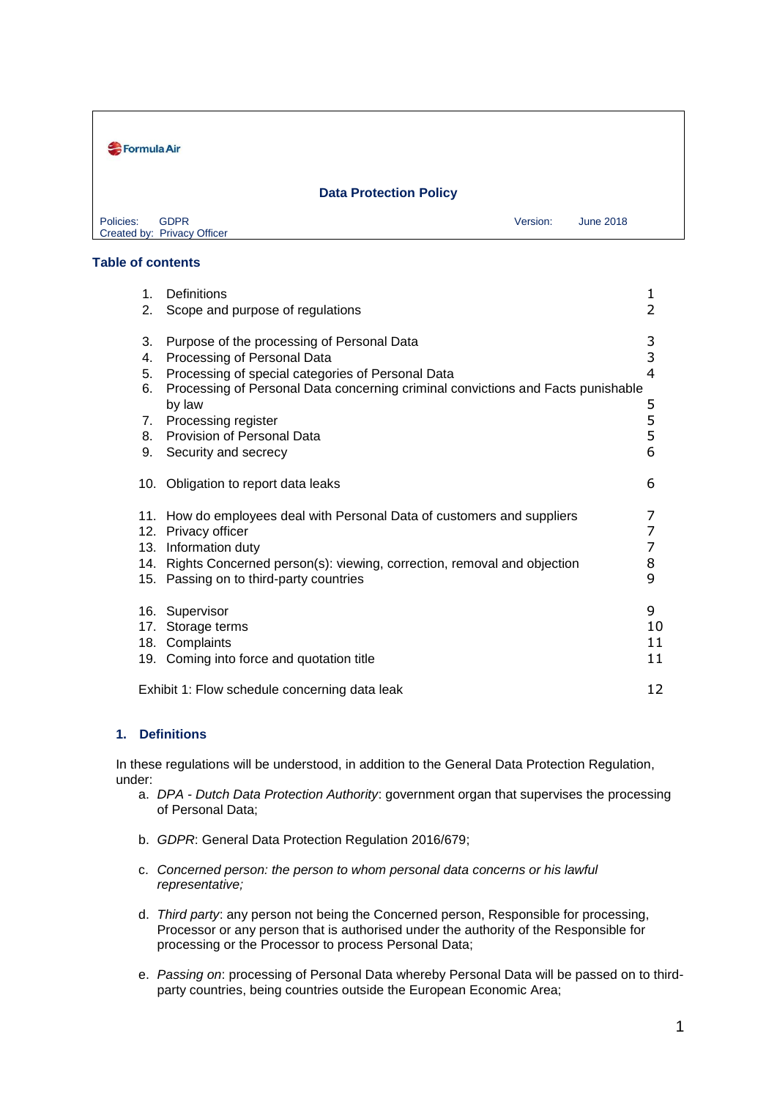| Formula Air                                             |          |           |  |
|---------------------------------------------------------|----------|-----------|--|
| <b>Data Protection Policy</b>                           |          |           |  |
| <b>GDPR</b><br>Policies:<br>Created by: Privacy Officer | Version: | June 2018 |  |

## **Table of contents**

| 1.<br>2.                               | Definitions<br>Scope and purpose of regulations                                                                                                                                                                                                                                                                  | 1<br>2                          |
|----------------------------------------|------------------------------------------------------------------------------------------------------------------------------------------------------------------------------------------------------------------------------------------------------------------------------------------------------------------|---------------------------------|
| 3.<br>4.<br>5.<br>6.<br>7.<br>8.<br>9. | Purpose of the processing of Personal Data<br>Processing of Personal Data<br>Processing of special categories of Personal Data<br>Processing of Personal Data concerning criminal convictions and Facts punishable<br>by law<br>Processing register<br><b>Provision of Personal Data</b><br>Security and secrecy | 3<br>3<br>4<br>5<br>5<br>5<br>6 |
|                                        | 10. Obligation to report data leaks                                                                                                                                                                                                                                                                              | 6                               |
| 13.                                    | 11. How do employees deal with Personal Data of customers and suppliers<br>12. Privacy officer<br>Information duty<br>14. Rights Concerned person(s): viewing, correction, removal and objection<br>15. Passing on to third-party countries                                                                      | 7<br>7<br>7<br>8<br>9           |
| 17.                                    | 16. Supervisor<br>Storage terms<br>18. Complaints<br>19. Coming into force and quotation title                                                                                                                                                                                                                   | 9<br>10<br>11<br>11             |
|                                        | Exhibit 1: Flow schedule concerning data leak                                                                                                                                                                                                                                                                    | 12                              |

## **1. Definitions**

In these regulations will be understood, in addition to the General Data Protection Regulation, under:

- a. *DPA - Dutch Data Protection Authority*: government organ that supervises the processing of Personal Data;
- b. *GDPR*: General Data Protection Regulation 2016/679;
- c. *Concerned person: the person to whom personal data concerns or his lawful representative;*
- d. *Third party*: any person not being the Concerned person, Responsible for processing, Processor or any person that is authorised under the authority of the Responsible for processing or the Processor to process Personal Data;
- e. *Passing on*: processing of Personal Data whereby Personal Data will be passed on to thirdparty countries, being countries outside the European Economic Area;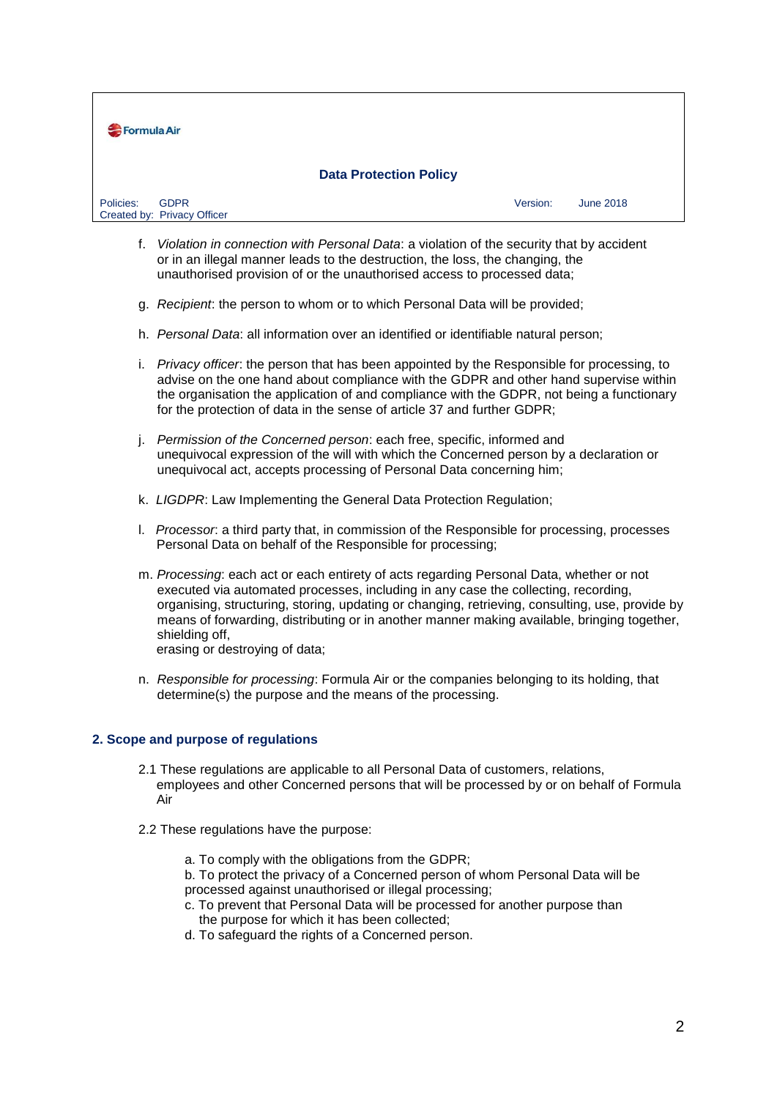

- f. *Violation in connection with Personal Data*: a violation of the security that by accident or in an illegal manner leads to the destruction, the loss, the changing, the unauthorised provision of or the unauthorised access to processed data;
- g. *Recipient*: the person to whom or to which Personal Data will be provided;
- h. *Personal Data*: all information over an identified or identifiable natural person;
- i. *Privacy officer*: the person that has been appointed by the Responsible for processing, to advise on the one hand about compliance with the GDPR and other hand supervise within the organisation the application of and compliance with the GDPR, not being a functionary for the protection of data in the sense of article 37 and further GDPR;
- j. *Permission of the Concerned person*: each free, specific, informed and unequivocal expression of the will with which the Concerned person by a declaration or unequivocal act, accepts processing of Personal Data concerning him;
- k. *LIGDPR*: Law Implementing the General Data Protection Regulation;
- l. *Processor*: a third party that, in commission of the Responsible for processing, processes Personal Data on behalf of the Responsible for processing;
- m. *Processing*: each act or each entirety of acts regarding Personal Data, whether or not executed via automated processes, including in any case the collecting, recording, organising, structuring, storing, updating or changing, retrieving, consulting, use, provide by means of forwarding, distributing or in another manner making available, bringing together, shielding off,

erasing or destroying of data;

n. *Responsible for processing*: Formula Air or the companies belonging to its holding, that determine(s) the purpose and the means of the processing.

## **2. Scope and purpose of regulations**

- 2.1 These regulations are applicable to all Personal Data of customers, relations, employees and other Concerned persons that will be processed by or on behalf of Formula Air
- 2.2 These regulations have the purpose:
	- a. To comply with the obligations from the GDPR;
	- b. To protect the privacy of a Concerned person of whom Personal Data will be processed against unauthorised or illegal processing;
	- c. To prevent that Personal Data will be processed for another purpose than the purpose for which it has been collected;
	- d. To safeguard the rights of a Concerned person.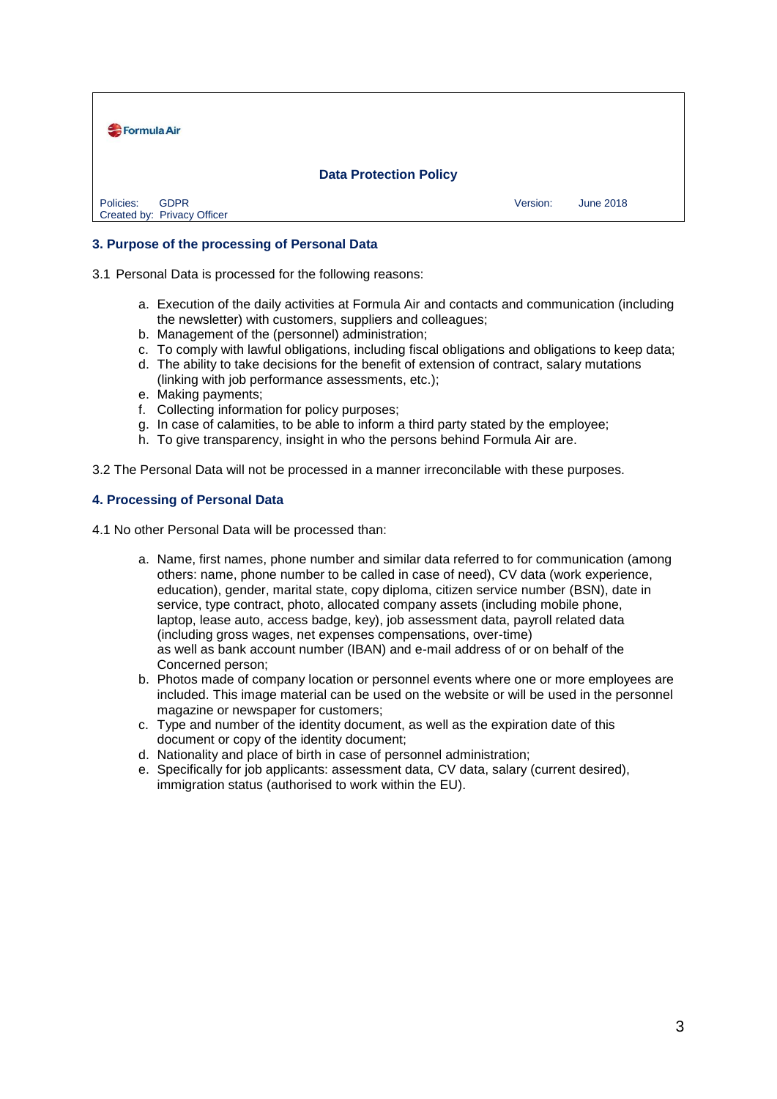

## **3. Purpose of the processing of Personal Data**

3.1 Personal Data is processed for the following reasons:

- a. Execution of the daily activities at Formula Air and contacts and communication (including the newsletter) with customers, suppliers and colleagues;
- b. Management of the (personnel) administration;
- c. To comply with lawful obligations, including fiscal obligations and obligations to keep data;
- d. The ability to take decisions for the benefit of extension of contract, salary mutations (linking with job performance assessments, etc.);
- e. Making payments;
- f. Collecting information for policy purposes;
- g. In case of calamities, to be able to inform a third party stated by the employee;
- h. To give transparency, insight in who the persons behind Formula Air are.

3.2 The Personal Data will not be processed in a manner irreconcilable with these purposes.

#### **4. Processing of Personal Data**

4.1 No other Personal Data will be processed than:

- a. Name, first names, phone number and similar data referred to for communication (among others: name, phone number to be called in case of need), CV data (work experience, education), gender, marital state, copy diploma, citizen service number (BSN), date in service, type contract, photo, allocated company assets (including mobile phone, laptop, lease auto, access badge, key), job assessment data, payroll related data (including gross wages, net expenses compensations, over-time) as well as bank account number (IBAN) and e-mail address of or on behalf of the Concerned person;
- b. Photos made of company location or personnel events where one or more employees are included. This image material can be used on the website or will be used in the personnel magazine or newspaper for customers;
- c. Type and number of the identity document, as well as the expiration date of this document or copy of the identity document;
- d. Nationality and place of birth in case of personnel administration;
- e. Specifically for job applicants: assessment data, CV data, salary (current desired), immigration status (authorised to work within the EU).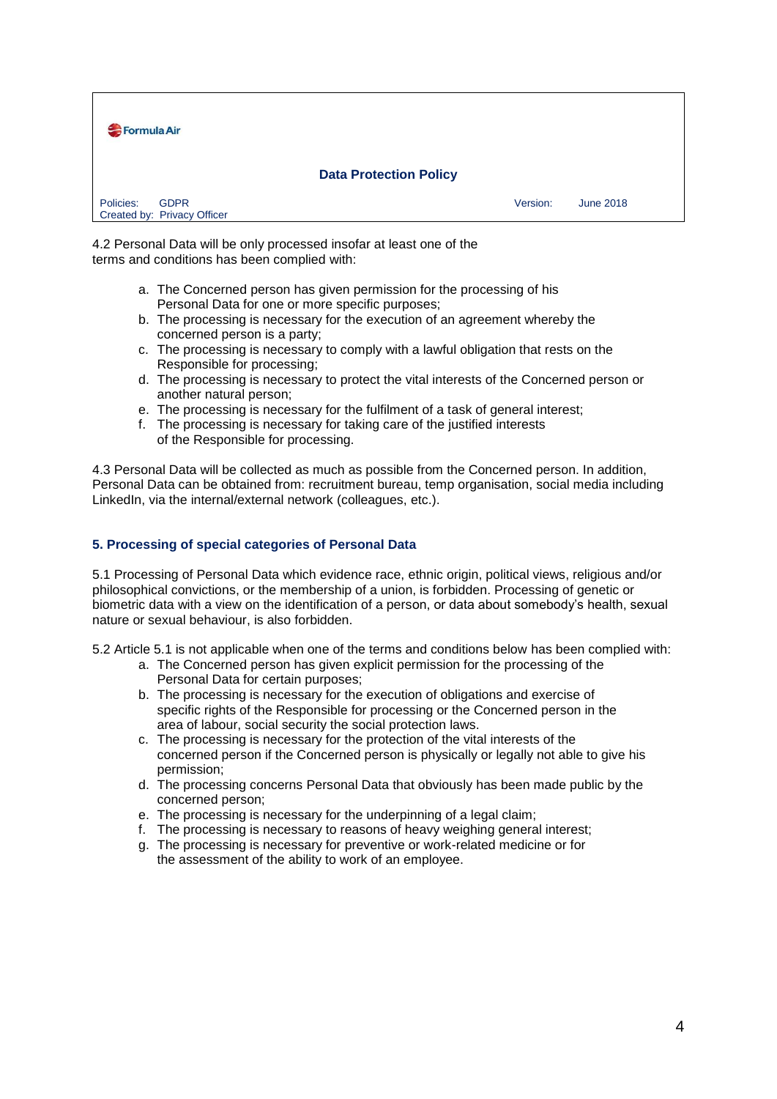

4.2 Personal Data will be only processed insofar at least one of the terms and conditions has been complied with:

- a. The Concerned person has given permission for the processing of his Personal Data for one or more specific purposes;
- b. The processing is necessary for the execution of an agreement whereby the concerned person is a party;
- c. The processing is necessary to comply with a lawful obligation that rests on the Responsible for processing;
- d. The processing is necessary to protect the vital interests of the Concerned person or another natural person;
- e. The processing is necessary for the fulfilment of a task of general interest;
- f. The processing is necessary for taking care of the justified interests of the Responsible for processing.

4.3 Personal Data will be collected as much as possible from the Concerned person. In addition, Personal Data can be obtained from: recruitment bureau, temp organisation, social media including LinkedIn, via the internal/external network (colleagues, etc.).

## **5. Processing of special categories of Personal Data**

5.1 Processing of Personal Data which evidence race, ethnic origin, political views, religious and/or philosophical convictions, or the membership of a union, is forbidden. Processing of genetic or biometric data with a view on the identification of a person, or data about somebody's health, sexual nature or sexual behaviour, is also forbidden.

5.2 Article 5.1 is not applicable when one of the terms and conditions below has been complied with:

- a. The Concerned person has given explicit permission for the processing of the Personal Data for certain purposes;
- b. The processing is necessary for the execution of obligations and exercise of specific rights of the Responsible for processing or the Concerned person in the area of labour, social security the social protection laws.
- c. The processing is necessary for the protection of the vital interests of the concerned person if the Concerned person is physically or legally not able to give his permission;
- d. The processing concerns Personal Data that obviously has been made public by the concerned person;
- e. The processing is necessary for the underpinning of a legal claim;
- f. The processing is necessary to reasons of heavy weighing general interest;
- g. The processing is necessary for preventive or work-related medicine or for the assessment of the ability to work of an employee.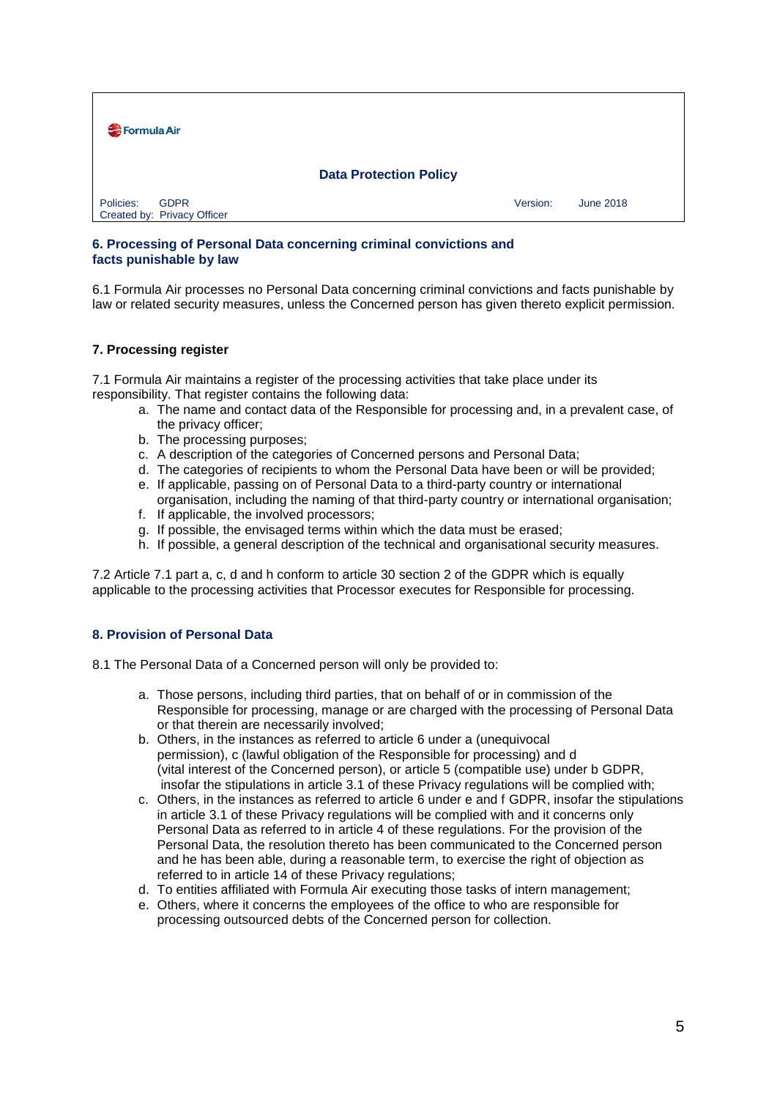

## **6. Processing of Personal Data concerning criminal convictions and facts punishable by law**

6.1 Formula Air processes no Personal Data concerning criminal convictions and facts punishable by law or related security measures, unless the Concerned person has given thereto explicit permission.

## **7. Processing register**

7.1 Formula Air maintains a register of the processing activities that take place under its responsibility. That register contains the following data:

- a. The name and contact data of the Responsible for processing and, in a prevalent case, of the privacy officer;
- b. The processing purposes;
- c. A description of the categories of Concerned persons and Personal Data;
- d. The categories of recipients to whom the Personal Data have been or will be provided;
- e. If applicable, passing on of Personal Data to a third-party country or international organisation, including the naming of that third-party country or international organisation;
- f. If applicable, the involved processors;
- g. If possible, the envisaged terms within which the data must be erased;
- h. If possible, a general description of the technical and organisational security measures.

7.2 Article 7.1 part a, c, d and h conform to article 30 section 2 of the GDPR which is equally applicable to the processing activities that Processor executes for Responsible for processing.

## **8. Provision of Personal Data**

8.1 The Personal Data of a Concerned person will only be provided to:

- a. Those persons, including third parties, that on behalf of or in commission of the Responsible for processing, manage or are charged with the processing of Personal Data or that therein are necessarily involved;
- b. Others, in the instances as referred to article 6 under a (unequivocal permission), c (lawful obligation of the Responsible for processing) and d (vital interest of the Concerned person), or article 5 (compatible use) under b GDPR, insofar the stipulations in article 3.1 of these Privacy regulations will be complied with;
- c. Others, in the instances as referred to article 6 under e and f GDPR, insofar the stipulations in article 3.1 of these Privacy regulations will be complied with and it concerns only Personal Data as referred to in article 4 of these regulations. For the provision of the Personal Data, the resolution thereto has been communicated to the Concerned person and he has been able, during a reasonable term, to exercise the right of objection as referred to in article 14 of these Privacy regulations;
- d. To entities affiliated with Formula Air executing those tasks of intern management;
- e. Others, where it concerns the employees of the office to who are responsible for processing outsourced debts of the Concerned person for collection.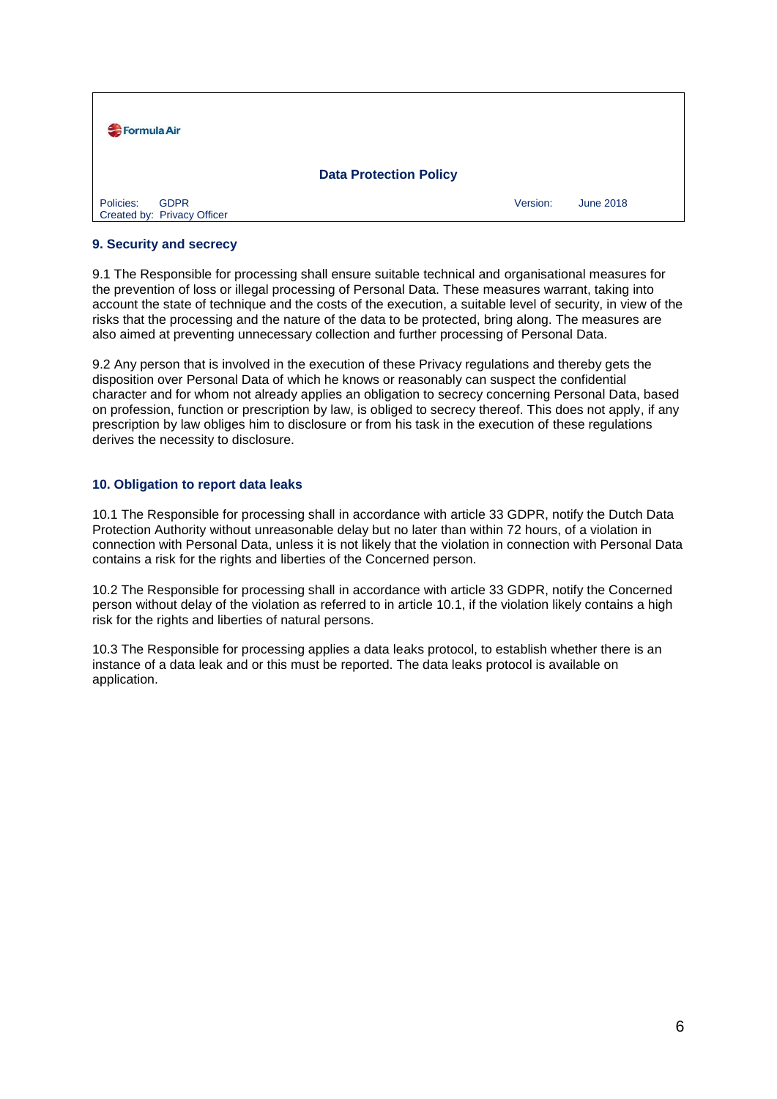| Formula Air                                             |          |                  |  |
|---------------------------------------------------------|----------|------------------|--|
| <b>Data Protection Policy</b>                           |          |                  |  |
| Policies:<br><b>GDPR</b><br>Created by: Privacy Officer | Version: | <b>June 2018</b> |  |

### **9. Security and secrecy**

9.1 The Responsible for processing shall ensure suitable technical and organisational measures for the prevention of loss or illegal processing of Personal Data. These measures warrant, taking into account the state of technique and the costs of the execution, a suitable level of security, in view of the risks that the processing and the nature of the data to be protected, bring along. The measures are also aimed at preventing unnecessary collection and further processing of Personal Data.

9.2 Any person that is involved in the execution of these Privacy regulations and thereby gets the disposition over Personal Data of which he knows or reasonably can suspect the confidential character and for whom not already applies an obligation to secrecy concerning Personal Data, based on profession, function or prescription by law, is obliged to secrecy thereof. This does not apply, if any prescription by law obliges him to disclosure or from his task in the execution of these regulations derives the necessity to disclosure.

#### **10. Obligation to report data leaks**

10.1 The Responsible for processing shall in accordance with article 33 GDPR, notify the Dutch Data Protection Authority without unreasonable delay but no later than within 72 hours, of a violation in connection with Personal Data, unless it is not likely that the violation in connection with Personal Data contains a risk for the rights and liberties of the Concerned person.

10.2 The Responsible for processing shall in accordance with article 33 GDPR, notify the Concerned person without delay of the violation as referred to in article 10.1, if the violation likely contains a high risk for the rights and liberties of natural persons.

10.3 The Responsible for processing applies a data leaks protocol, to establish whether there is an instance of a data leak and or this must be reported. The data leaks protocol is available on application.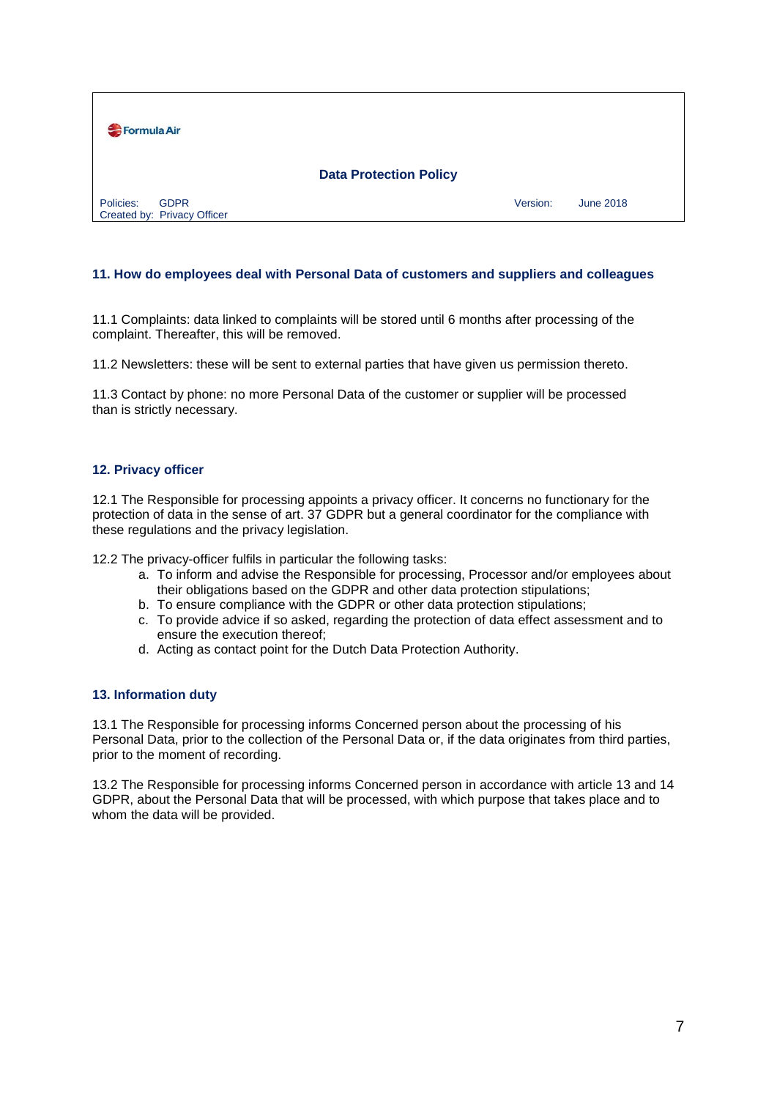

### **11. How do employees deal with Personal Data of customers and suppliers and colleagues**

11.1 Complaints: data linked to complaints will be stored until 6 months after processing of the complaint. Thereafter, this will be removed.

11.2 Newsletters: these will be sent to external parties that have given us permission thereto.

11.3 Contact by phone: no more Personal Data of the customer or supplier will be processed than is strictly necessary.

#### **12. Privacy officer**

12.1 The Responsible for processing appoints a privacy officer. It concerns no functionary for the protection of data in the sense of art. 37 GDPR but a general coordinator for the compliance with these regulations and the privacy legislation.

12.2 The privacy-officer fulfils in particular the following tasks:

- a. To inform and advise the Responsible for processing, Processor and/or employees about their obligations based on the GDPR and other data protection stipulations;
- b. To ensure compliance with the GDPR or other data protection stipulations;
- c. To provide advice if so asked, regarding the protection of data effect assessment and to ensure the execution thereof;
- d. Acting as contact point for the Dutch Data Protection Authority.

#### **13. Information duty**

13.1 The Responsible for processing informs Concerned person about the processing of his Personal Data, prior to the collection of the Personal Data or, if the data originates from third parties, prior to the moment of recording.

13.2 The Responsible for processing informs Concerned person in accordance with article 13 and 14 GDPR, about the Personal Data that will be processed, with which purpose that takes place and to whom the data will be provided.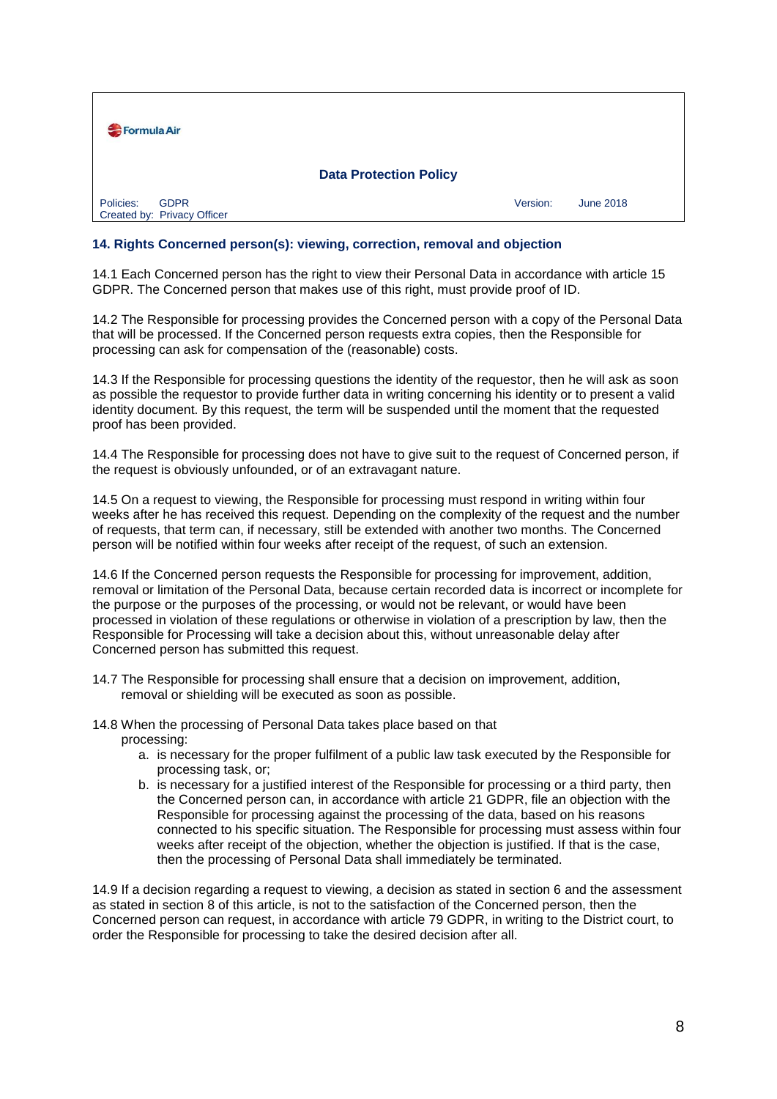| Formula Air                                             |          |           |  |
|---------------------------------------------------------|----------|-----------|--|
| <b>Data Protection Policy</b>                           |          |           |  |
| Policies:<br><b>GDPR</b><br>Created by: Privacy Officer | Version: | June 2018 |  |

## **14. Rights Concerned person(s): viewing, correction, removal and objection**

14.1 Each Concerned person has the right to view their Personal Data in accordance with article 15 GDPR. The Concerned person that makes use of this right, must provide proof of ID.

14.2 The Responsible for processing provides the Concerned person with a copy of the Personal Data that will be processed. If the Concerned person requests extra copies, then the Responsible for processing can ask for compensation of the (reasonable) costs.

14.3 If the Responsible for processing questions the identity of the requestor, then he will ask as soon as possible the requestor to provide further data in writing concerning his identity or to present a valid identity document. By this request, the term will be suspended until the moment that the requested proof has been provided.

14.4 The Responsible for processing does not have to give suit to the request of Concerned person, if the request is obviously unfounded, or of an extravagant nature.

14.5 On a request to viewing, the Responsible for processing must respond in writing within four weeks after he has received this request. Depending on the complexity of the request and the number of requests, that term can, if necessary, still be extended with another two months. The Concerned person will be notified within four weeks after receipt of the request, of such an extension.

14.6 If the Concerned person requests the Responsible for processing for improvement, addition, removal or limitation of the Personal Data, because certain recorded data is incorrect or incomplete for the purpose or the purposes of the processing, or would not be relevant, or would have been processed in violation of these regulations or otherwise in violation of a prescription by law, then the Responsible for Processing will take a decision about this, without unreasonable delay after Concerned person has submitted this request.

14.7 The Responsible for processing shall ensure that a decision on improvement, addition, removal or shielding will be executed as soon as possible.

14.8 When the processing of Personal Data takes place based on that processing:

- a. is necessary for the proper fulfilment of a public law task executed by the Responsible for processing task, or;
- b. is necessary for a justified interest of the Responsible for processing or a third party, then the Concerned person can, in accordance with article 21 GDPR, file an objection with the Responsible for processing against the processing of the data, based on his reasons connected to his specific situation. The Responsible for processing must assess within four weeks after receipt of the objection, whether the objection is justified. If that is the case, then the processing of Personal Data shall immediately be terminated.

14.9 If a decision regarding a request to viewing, a decision as stated in section 6 and the assessment as stated in section 8 of this article, is not to the satisfaction of the Concerned person, then the Concerned person can request, in accordance with article 79 GDPR, in writing to the District court, to order the Responsible for processing to take the desired decision after all.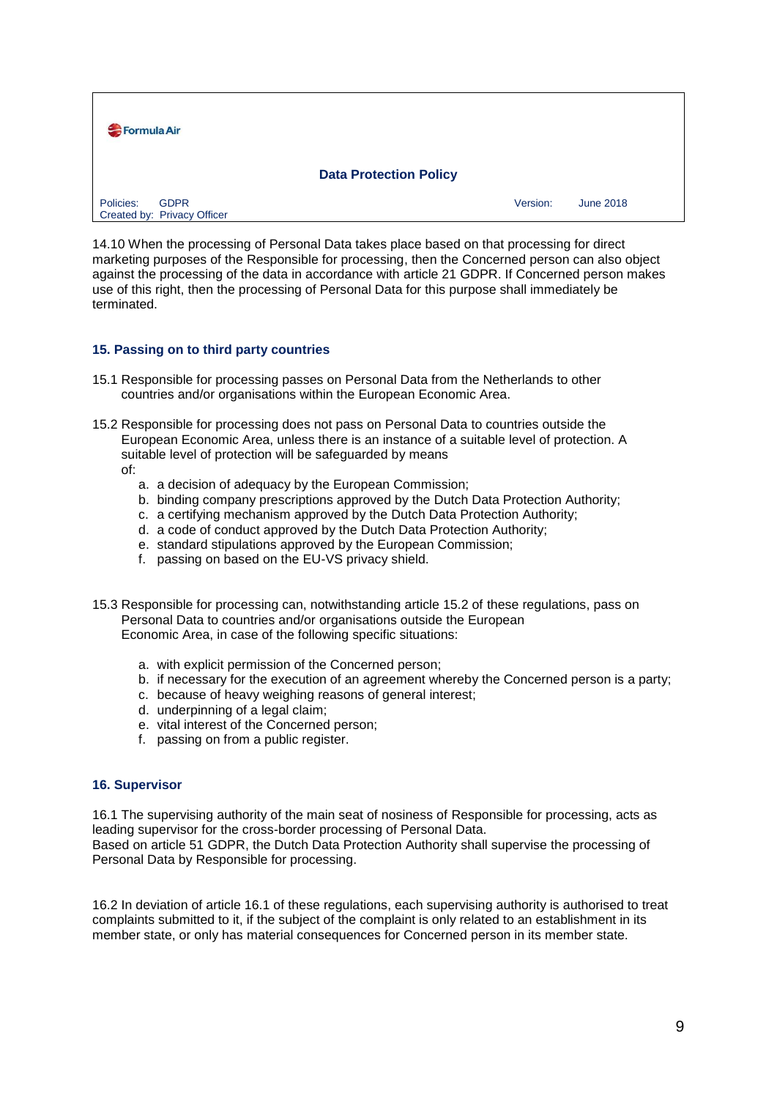| Formula Air                                             |                              |  |  |
|---------------------------------------------------------|------------------------------|--|--|
| <b>Data Protection Policy</b>                           |                              |  |  |
| Policies:<br><b>GDPR</b><br>Created by: Privacy Officer | Version:<br><b>June 2018</b> |  |  |

14.10 When the processing of Personal Data takes place based on that processing for direct marketing purposes of the Responsible for processing, then the Concerned person can also object against the processing of the data in accordance with article 21 GDPR. If Concerned person makes use of this right, then the processing of Personal Data for this purpose shall immediately be terminated.

## **15. Passing on to third party countries**

- 15.1 Responsible for processing passes on Personal Data from the Netherlands to other countries and/or organisations within the European Economic Area.
- 15.2 Responsible for processing does not pass on Personal Data to countries outside the European Economic Area, unless there is an instance of a suitable level of protection. A suitable level of protection will be safeguarded by means
	- of:
		- a. a decision of adequacy by the European Commission;
		- b. binding company prescriptions approved by the Dutch Data Protection Authority;
		- c. a certifying mechanism approved by the Dutch Data Protection Authority;
		- d. a code of conduct approved by the Dutch Data Protection Authority;
		- e. standard stipulations approved by the European Commission;
		- f. passing on based on the EU-VS privacy shield.
- 15.3 Responsible for processing can, notwithstanding article 15.2 of these regulations, pass on Personal Data to countries and/or organisations outside the European Economic Area, in case of the following specific situations:
	- a. with explicit permission of the Concerned person;
	- b. if necessary for the execution of an agreement whereby the Concerned person is a party;
	- c. because of heavy weighing reasons of general interest;
	- d. underpinning of a legal claim;
	- e. vital interest of the Concerned person;
	- f. passing on from a public register.

#### **16. Supervisor**

16.1 The supervising authority of the main seat of nosiness of Responsible for processing, acts as leading supervisor for the cross-border processing of Personal Data. Based on article 51 GDPR, the Dutch Data Protection Authority shall supervise the processing of

Personal Data by Responsible for processing.

16.2 In deviation of article 16.1 of these regulations, each supervising authority is authorised to treat complaints submitted to it, if the subject of the complaint is only related to an establishment in its member state, or only has material consequences for Concerned person in its member state.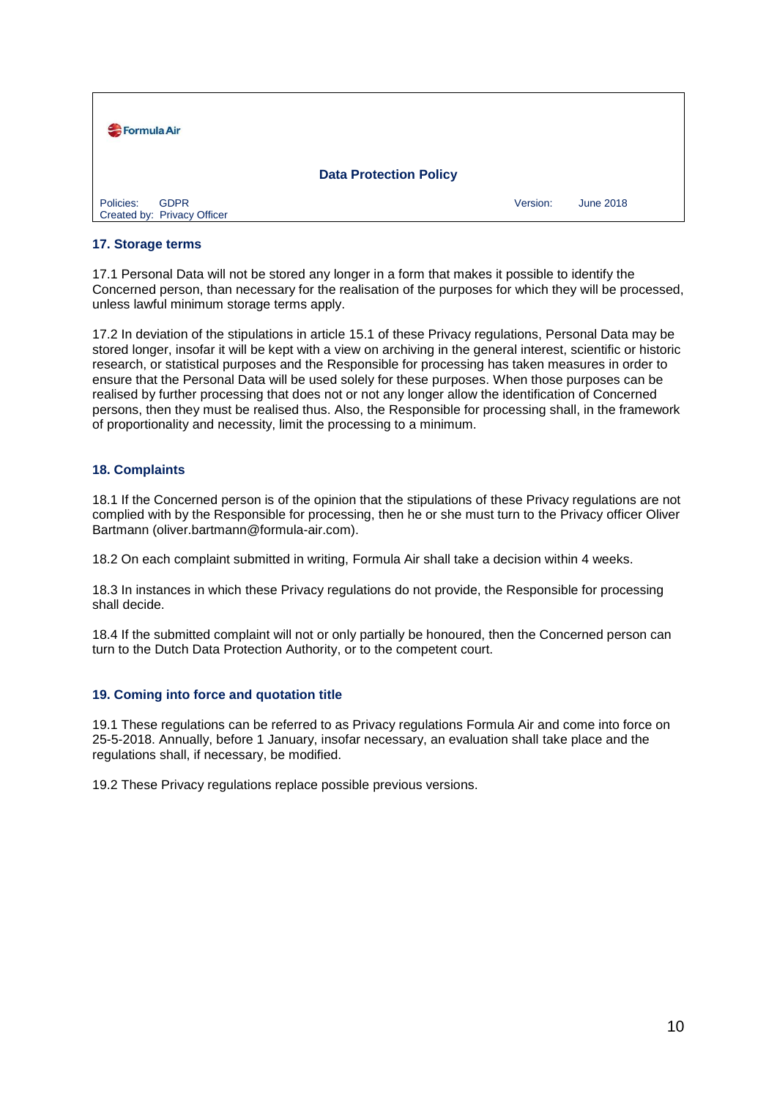| Formula Air                                             |          |                  |  |
|---------------------------------------------------------|----------|------------------|--|
| <b>Data Protection Policy</b>                           |          |                  |  |
| Policies:<br><b>GDPR</b><br>Created by: Privacy Officer | Version: | <b>June 2018</b> |  |

### **17. Storage terms**

17.1 Personal Data will not be stored any longer in a form that makes it possible to identify the Concerned person, than necessary for the realisation of the purposes for which they will be processed, unless lawful minimum storage terms apply.

17.2 In deviation of the stipulations in article 15.1 of these Privacy regulations, Personal Data may be stored longer, insofar it will be kept with a view on archiving in the general interest, scientific or historic research, or statistical purposes and the Responsible for processing has taken measures in order to ensure that the Personal Data will be used solely for these purposes. When those purposes can be realised by further processing that does not or not any longer allow the identification of Concerned persons, then they must be realised thus. Also, the Responsible for processing shall, in the framework of proportionality and necessity, limit the processing to a minimum.

#### **18. Complaints**

18.1 If the Concerned person is of the opinion that the stipulations of these Privacy regulations are not complied with by the Responsible for processing, then he or she must turn to the Privacy officer Oliver Bartmann (oliver.bartmann@formula-air.com).

18.2 On each complaint submitted in writing, Formula Air shall take a decision within 4 weeks.

18.3 In instances in which these Privacy regulations do not provide, the Responsible for processing shall decide.

18.4 If the submitted complaint will not or only partially be honoured, then the Concerned person can turn to the Dutch Data Protection Authority, or to the competent court.

## **19. Coming into force and quotation title**

19.1 These regulations can be referred to as Privacy regulations Formula Air and come into force on 25-5-2018. Annually, before 1 January, insofar necessary, an evaluation shall take place and the regulations shall, if necessary, be modified.

19.2 These Privacy regulations replace possible previous versions.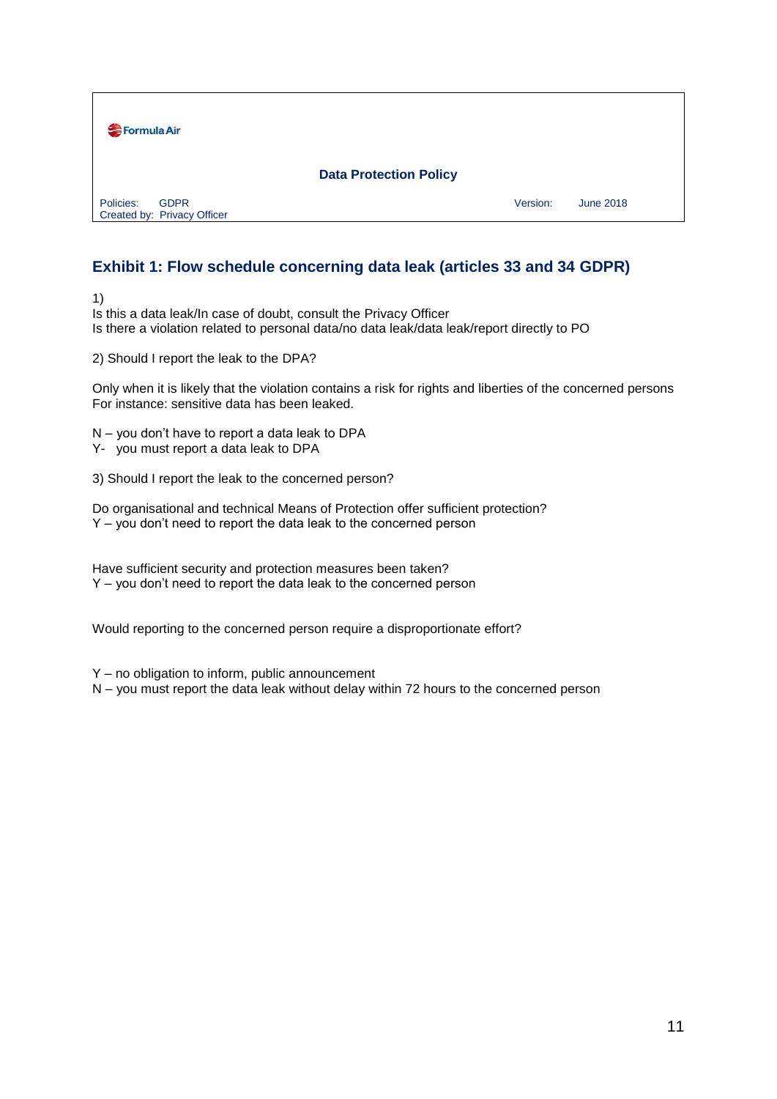

# **Exhibit 1: Flow schedule concerning data leak (articles 33 and 34 GDPR)**

1)

Is this a data leak/In case of doubt, consult the Privacy Officer Is there a violation related to personal data/no data leak/data leak/report directly to PO

2) Should I report the leak to the DPA?

Only when it is likely that the violation contains a risk for rights and liberties of the concerned persons For instance: sensitive data has been leaked.

N – you don't have to report a data leak to DPA

Y- you must report a data leak to DPA

3) Should I report the leak to the concerned person?

Do organisational and technical Means of Protection offer sufficient protection? Y – you don't need to report the data leak to the concerned person

Have sufficient security and protection measures been taken? Y – you don't need to report the data leak to the concerned person

Would reporting to the concerned person require a disproportionate effort?

Y – no obligation to inform, public announcement

N – you must report the data leak without delay within 72 hours to the concerned person